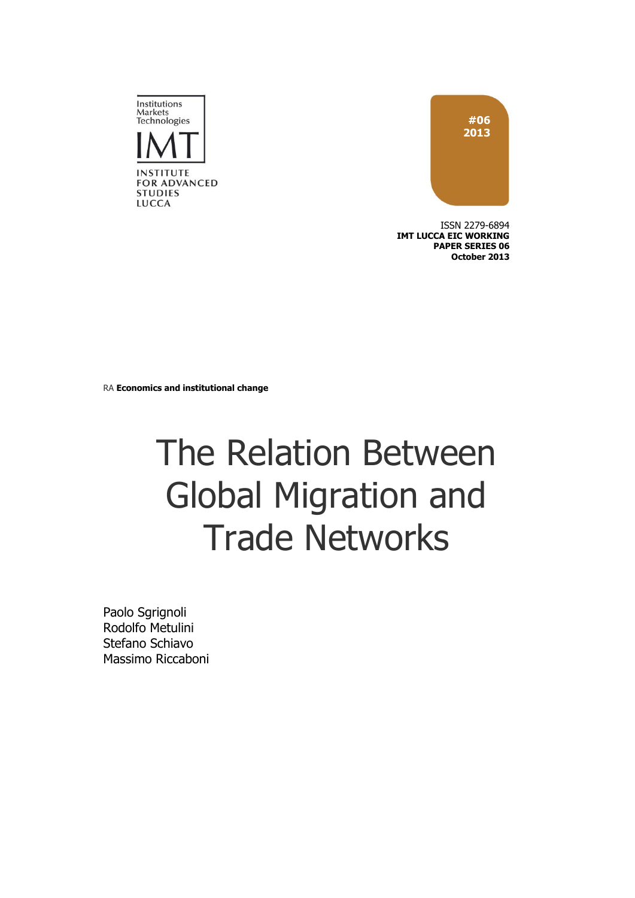

ISSN 2279-6894 **IMT LUCCA EIC WORKING PAPER SERIES 06 October 2013**



RA **Economics and institutional change**

# The Relation Between Global Migration and Trade Networks

Paolo Sgrignoli Rodolfo Metulini Stefano Schiavo Massimo Riccaboni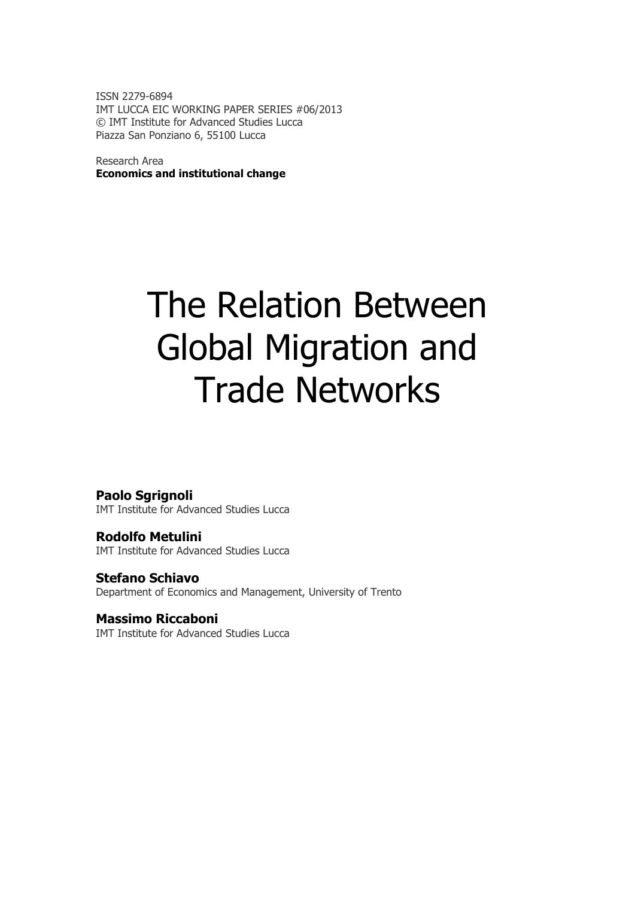ISSN 2279-6894 IMT LUCCA EIC WORKING PAPER SERIES #06/2013 © IMT Institute for Advanced Studies Lucca Piazza San Ponziano 6, 55100 Lucca

Research Area **Economics and institutional change**

# The Relation Between Global Migration and Trade Networks

### **Paolo Sgrignoli**

IMT Institute for Advanced Studies Lucca

**Rodolfo Metulini** IMT Institute for Advanced Studies Lucca

**Stefano Schiavo** Department of Economics and Management, University of Trento

### **Massimo Riccaboni**

IMT Institute for Advanced Studies Lucca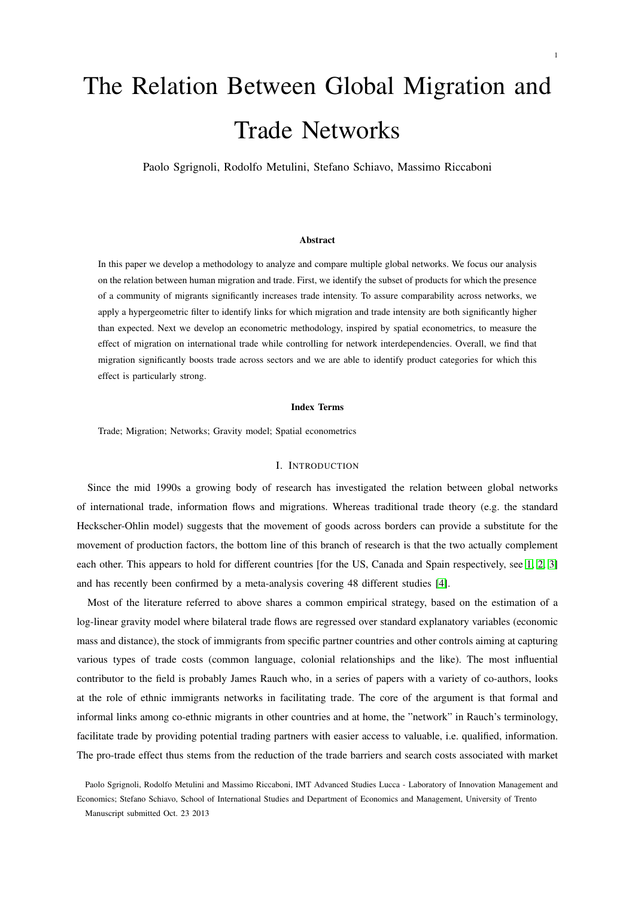## The Relation Between Global Migration and Trade Networks

Paolo Sgrignoli, Rodolfo Metulini, Stefano Schiavo, Massimo Riccaboni

#### Abstract

In this paper we develop a methodology to analyze and compare multiple global networks. We focus our analysis on the relation between human migration and trade. First, we identify the subset of products for which the presence of a community of migrants significantly increases trade intensity. To assure comparability across networks, we apply a hypergeometric filter to identify links for which migration and trade intensity are both significantly higher than expected. Next we develop an econometric methodology, inspired by spatial econometrics, to measure the effect of migration on international trade while controlling for network interdependencies. Overall, we find that migration significantly boosts trade across sectors and we are able to identify product categories for which this effect is particularly strong.

#### Index Terms

Trade; Migration; Networks; Gravity model; Spatial econometrics

#### I. INTRODUCTION

Since the mid 1990s a growing body of research has investigated the relation between global networks of international trade, information flows and migrations. Whereas traditional trade theory (e.g. the standard Heckscher-Ohlin model) suggests that the movement of goods across borders can provide a substitute for the movement of production factors, the bottom line of this branch of research is that the two actually complement each other. This appears to hold for different countries [for the US, Canada and Spain respectively, see [1,](#page-15-0) [2,](#page-15-1) [3\]](#page-15-2) and has recently been confirmed by a meta-analysis covering 48 different studies [\[4\]](#page-15-3).

Most of the literature referred to above shares a common empirical strategy, based on the estimation of a log-linear gravity model where bilateral trade flows are regressed over standard explanatory variables (economic mass and distance), the stock of immigrants from specific partner countries and other controls aiming at capturing various types of trade costs (common language, colonial relationships and the like). The most influential contributor to the field is probably James Rauch who, in a series of papers with a variety of co-authors, looks at the role of ethnic immigrants networks in facilitating trade. The core of the argument is that formal and informal links among co-ethnic migrants in other countries and at home, the "network" in Rauch's terminology, facilitate trade by providing potential trading partners with easier access to valuable, i.e. qualified, information. The pro-trade effect thus stems from the reduction of the trade barriers and search costs associated with market

Paolo Sgrignoli, Rodolfo Metulini and Massimo Riccaboni, IMT Advanced Studies Lucca - Laboratory of Innovation Management and Economics; Stefano Schiavo, School of International Studies and Department of Economics and Management, University of Trento Manuscript submitted Oct. 23 2013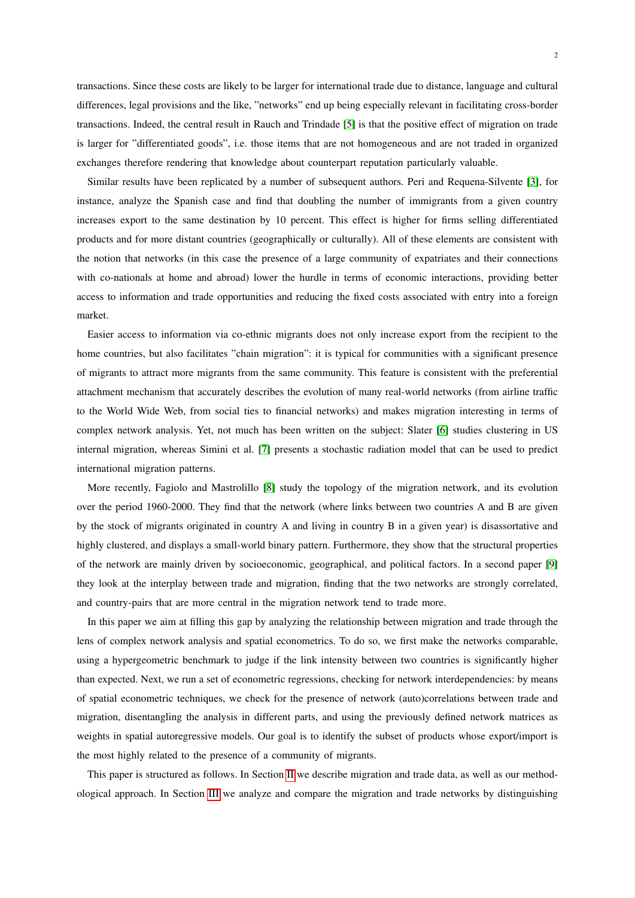transactions. Since these costs are likely to be larger for international trade due to distance, language and cultural differences, legal provisions and the like, "networks" end up being especially relevant in facilitating cross-border transactions. Indeed, the central result in Rauch and Trindade [\[5\]](#page-15-4) is that the positive effect of migration on trade is larger for "differentiated goods", i.e. those items that are not homogeneous and are not traded in organized exchanges therefore rendering that knowledge about counterpart reputation particularly valuable.

Similar results have been replicated by a number of subsequent authors. Peri and Requena-Silvente [\[3\]](#page-15-2), for instance, analyze the Spanish case and find that doubling the number of immigrants from a given country increases export to the same destination by 10 percent. This effect is higher for firms selling differentiated products and for more distant countries (geographically or culturally). All of these elements are consistent with the notion that networks (in this case the presence of a large community of expatriates and their connections with co-nationals at home and abroad) lower the hurdle in terms of economic interactions, providing better access to information and trade opportunities and reducing the fixed costs associated with entry into a foreign market.

Easier access to information via co-ethnic migrants does not only increase export from the recipient to the home countries, but also facilitates "chain migration": it is typical for communities with a significant presence of migrants to attract more migrants from the same community. This feature is consistent with the preferential attachment mechanism that accurately describes the evolution of many real-world networks (from airline traffic to the World Wide Web, from social ties to financial networks) and makes migration interesting in terms of complex network analysis. Yet, not much has been written on the subject: Slater [\[6\]](#page-15-5) studies clustering in US internal migration, whereas Simini et al. [\[7\]](#page-15-6) presents a stochastic radiation model that can be used to predict international migration patterns.

More recently, Fagiolo and Mastrolillo [\[8\]](#page-15-7) study the topology of the migration network, and its evolution over the period 1960-2000. They find that the network (where links between two countries A and B are given by the stock of migrants originated in country A and living in country B in a given year) is disassortative and highly clustered, and displays a small-world binary pattern. Furthermore, they show that the structural properties of the network are mainly driven by socioeconomic, geographical, and political factors. In a second paper [\[9\]](#page-16-0) they look at the interplay between trade and migration, finding that the two networks are strongly correlated, and country-pairs that are more central in the migration network tend to trade more.

In this paper we aim at filling this gap by analyzing the relationship between migration and trade through the lens of complex network analysis and spatial econometrics. To do so, we first make the networks comparable, using a hypergeometric benchmark to judge if the link intensity between two countries is significantly higher than expected. Next, we run a set of econometric regressions, checking for network interdependencies: by means of spatial econometric techniques, we check for the presence of network (auto)correlations between trade and migration, disentangling the analysis in different parts, and using the previously defined network matrices as weights in spatial autoregressive models. Our goal is to identify the subset of products whose export/import is the most highly related to the presence of a community of migrants.

This paper is structured as follows. In Section [II](#page-4-0) we describe migration and trade data, as well as our methodological approach. In Section [III](#page-5-0) we analyze and compare the migration and trade networks by distinguishing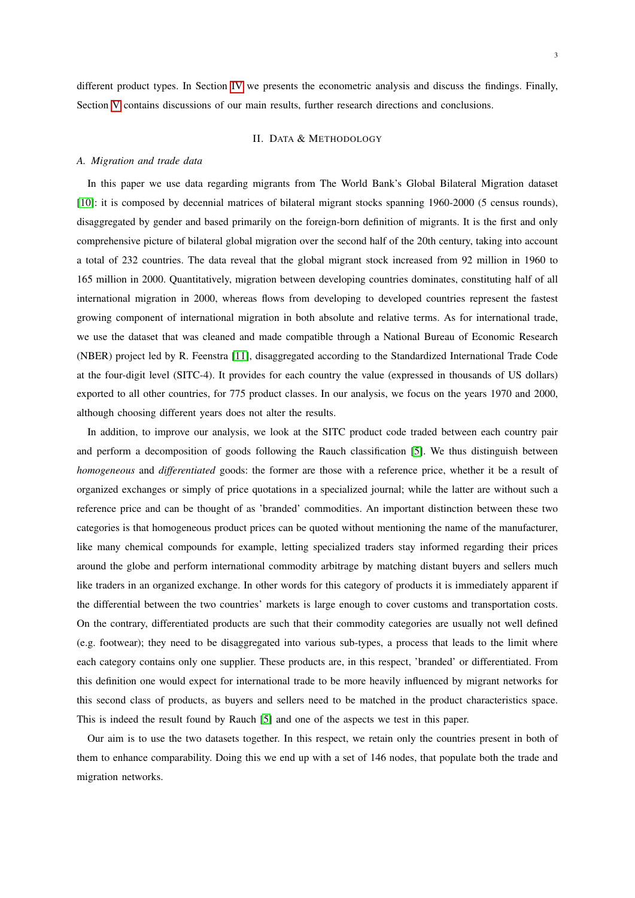3

different product types. In Section [IV](#page-9-0) we presents the econometric analysis and discuss the findings. Finally, Section [V](#page-14-0) contains discussions of our main results, further research directions and conclusions.

#### II. DATA & METHODOLOGY

#### <span id="page-4-0"></span>*A. Migration and trade data*

In this paper we use data regarding migrants from The World Bank's Global Bilateral Migration dataset [\[10\]](#page-16-1): it is composed by decennial matrices of bilateral migrant stocks spanning 1960-2000 (5 census rounds), disaggregated by gender and based primarily on the foreign-born definition of migrants. It is the first and only comprehensive picture of bilateral global migration over the second half of the 20th century, taking into account a total of 232 countries. The data reveal that the global migrant stock increased from 92 million in 1960 to 165 million in 2000. Quantitatively, migration between developing countries dominates, constituting half of all international migration in 2000, whereas flows from developing to developed countries represent the fastest growing component of international migration in both absolute and relative terms. As for international trade, we use the dataset that was cleaned and made compatible through a National Bureau of Economic Research (NBER) project led by R. Feenstra [\[11\]](#page-16-2), disaggregated according to the Standardized International Trade Code at the four-digit level (SITC-4). It provides for each country the value (expressed in thousands of US dollars) exported to all other countries, for 775 product classes. In our analysis, we focus on the years 1970 and 2000, although choosing different years does not alter the results.

In addition, to improve our analysis, we look at the SITC product code traded between each country pair and perform a decomposition of goods following the Rauch classification [\[5\]](#page-15-4). We thus distinguish between *homogeneous* and *differentiated* goods: the former are those with a reference price, whether it be a result of organized exchanges or simply of price quotations in a specialized journal; while the latter are without such a reference price and can be thought of as 'branded' commodities. An important distinction between these two categories is that homogeneous product prices can be quoted without mentioning the name of the manufacturer, like many chemical compounds for example, letting specialized traders stay informed regarding their prices around the globe and perform international commodity arbitrage by matching distant buyers and sellers much like traders in an organized exchange. In other words for this category of products it is immediately apparent if the differential between the two countries' markets is large enough to cover customs and transportation costs. On the contrary, differentiated products are such that their commodity categories are usually not well defined (e.g. footwear); they need to be disaggregated into various sub-types, a process that leads to the limit where each category contains only one supplier. These products are, in this respect, 'branded' or differentiated. From this definition one would expect for international trade to be more heavily influenced by migrant networks for this second class of products, as buyers and sellers need to be matched in the product characteristics space. This is indeed the result found by Rauch [\[5\]](#page-15-4) and one of the aspects we test in this paper.

Our aim is to use the two datasets together. In this respect, we retain only the countries present in both of them to enhance comparability. Doing this we end up with a set of 146 nodes, that populate both the trade and migration networks.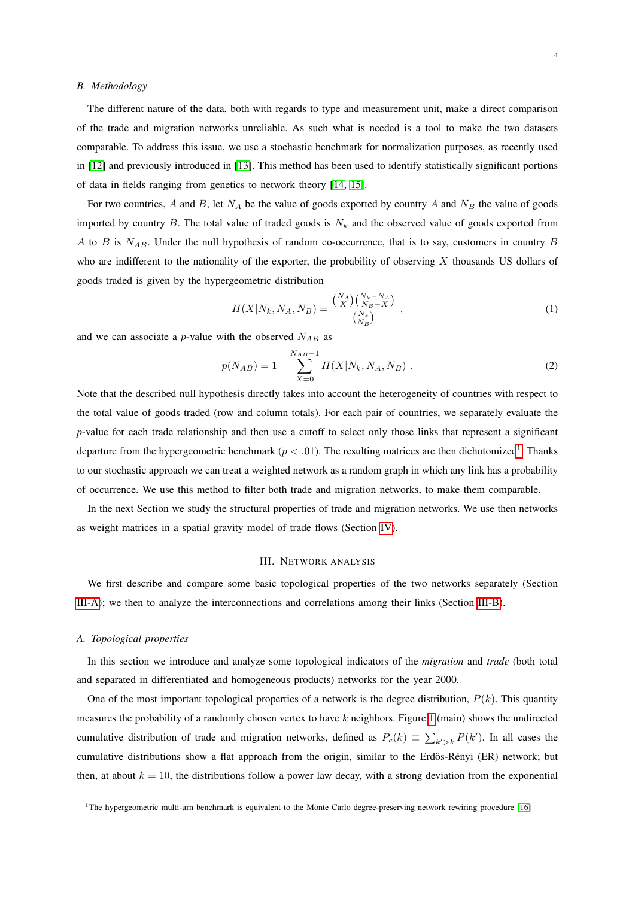#### <span id="page-5-3"></span>*B. Methodology*

The different nature of the data, both with regards to type and measurement unit, make a direct comparison of the trade and migration networks unreliable. As such what is needed is a tool to make the two datasets comparable. To address this issue, we use a stochastic benchmark for normalization purposes, as recently used in [\[12\]](#page-16-3) and previously introduced in [\[13\]](#page-16-4). This method has been used to identify statistically significant portions of data in fields ranging from genetics to network theory [\[14,](#page-16-5) [15\]](#page-16-6).

For two countries, A and B, let  $N_A$  be the value of goods exported by country A and  $N_B$  the value of goods imported by country  $B$ . The total value of traded goods is  $N_k$  and the observed value of goods exported from A to B is  $N_{AB}$ . Under the null hypothesis of random co-occurrence, that is to say, customers in country B who are indifferent to the nationality of the exporter, the probability of observing X thousands US dollars of goods traded is given by the hypergeometric distribution

$$
H(X|N_k, N_A, N_B) = \frac{\binom{N_A}{X} \binom{N_k - N_A}{N_B - X}}{\binom{N_k}{N_B}},
$$
\n(1)

and we can associate a  $p$ -value with the observed  $N_{AB}$  as

$$
p(N_{AB}) = 1 - \sum_{X=0}^{N_{AB}-1} H(X|N_k, N_A, N_B) .
$$
 (2)

Note that the described null hypothesis directly takes into account the heterogeneity of countries with respect to the total value of goods traded (row and column totals). For each pair of countries, we separately evaluate the *p*-value for each trade relationship and then use a cutoff to select only those links that represent a significant departure from the hypergeometric benchmark ( $p < .01$  $p < .01$ ). The resulting matrices are then dichotomized<sup>1</sup>. Thanks to our stochastic approach we can treat a weighted network as a random graph in which any link has a probability of occurrence. We use this method to filter both trade and migration networks, to make them comparable.

In the next Section we study the structural properties of trade and migration networks. We use then networks as weight matrices in a spatial gravity model of trade flows (Section [IV\)](#page-9-0).

#### III. NETWORK ANALYSIS

<span id="page-5-0"></span>We first describe and compare some basic topological properties of the two networks separately (Section [III-A\)](#page-5-2); we then to analyze the interconnections and correlations among their links (Section [III-B\)](#page-6-0).

#### <span id="page-5-2"></span>*A. Topological properties*

In this section we introduce and analyze some topological indicators of the *migration* and *trade* (both total and separated in differentiated and homogeneous products) networks for the year 2000.

One of the most important topological properties of a network is the degree distribution,  $P(k)$ . This quantity measures the probability of a randomly chosen vertex to have k neighbors. Figure [1](#page-7-0) (main) shows the undirected cumulative distribution of trade and migration networks, defined as  $P_c(k) \equiv \sum_{k'>k} P(k')$ . In all cases the cumulative distributions show a flat approach from the origin, similar to the Erdös-Rényi (ER) network; but then, at about  $k = 10$ , the distributions follow a power law decay, with a strong deviation from the exponential

<span id="page-5-1"></span><sup>&</sup>lt;sup>1</sup>The hypergeometric multi-urn benchmark is equivalent to the Monte Carlo degree-preserving network rewiring procedure  $[16]$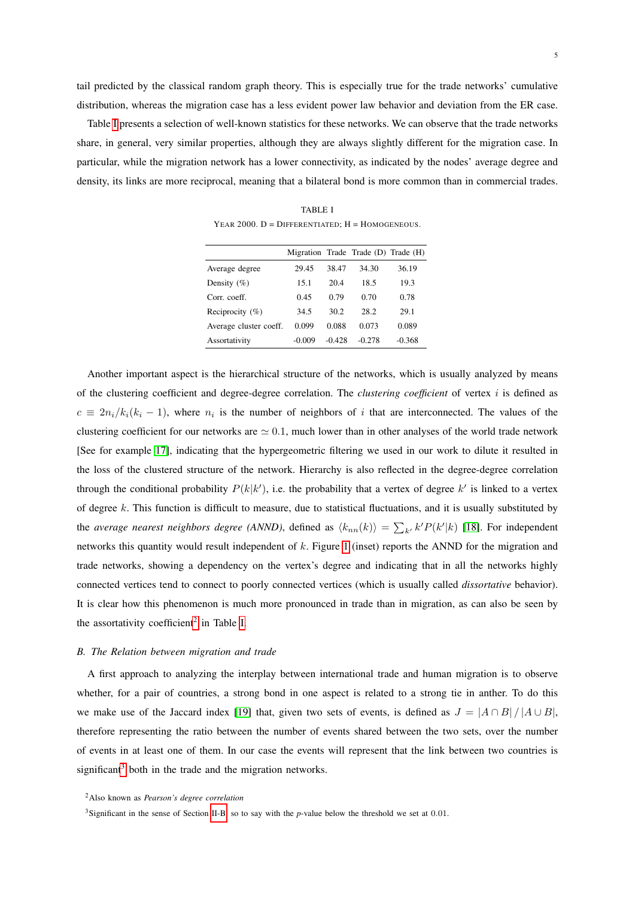tail predicted by the classical random graph theory. This is especially true for the trade networks' cumulative distribution, whereas the migration case has a less evident power law behavior and deviation from the ER case.

<span id="page-6-1"></span>Table [I](#page-6-1) presents a selection of well-known statistics for these networks. We can observe that the trade networks share, in general, very similar properties, although they are always slightly different for the migration case. In particular, while the migration network has a lower connectivity, as indicated by the nodes' average degree and density, its links are more reciprocal, meaning that a bilateral bond is more common than in commercial trades.

TABLE I YEAR 2000.  $D =$  DIFFERENTIATED;  $H =$  HOMOGENEOUS.

|                        |          |          | Migration Trade Trade (D) Trade (H) |          |
|------------------------|----------|----------|-------------------------------------|----------|
| Average degree         | 29.45    | 38.47    | 34.30                               | 36.19    |
| Density $(\% )$        | 15.1     | 20.4     | 18.5                                | 19.3     |
| Corr. coeff.           | 0.45     | 0.79     | 0.70                                | 0.78     |
| Reciprocity $(\% )$    | 34.5     | 30.2     | 28.2                                | 29.1     |
| Average cluster coeff. | 0.099    | 0.088    | 0.073                               | 0.089    |
| Assortativity          | $-0.009$ | $-0.428$ | $-0.278$                            | $-0.368$ |
|                        |          |          |                                     |          |

Another important aspect is the hierarchical structure of the networks, which is usually analyzed by means of the clustering coefficient and degree-degree correlation. The *clustering coefficient* of vertex i is defined as  $c \equiv 2n_i/k_i(k_i - 1)$ , where  $n_i$  is the number of neighbors of i that are interconnected. The values of the clustering coefficient for our networks are  $\simeq 0.1$ , much lower than in other analyses of the world trade network [See for example [17\]](#page-16-8), indicating that the hypergeometric filtering we used in our work to dilute it resulted in the loss of the clustered structure of the network. Hierarchy is also reflected in the degree-degree correlation through the conditional probability  $P(k|k')$ , i.e. the probability that a vertex of degree  $k'$  is linked to a vertex of degree  $k$ . This function is difficult to measure, due to statistical fluctuations, and it is usually substituted by the *average nearest neighbors degree (ANND)*, defined as  $\langle k_{nn}(k) \rangle = \sum_{k'} k' P(k'|k)$  [\[18\]](#page-16-9). For independent networks this quantity would result independent of k. Figure [1](#page-7-0) (inset) reports the ANND for the migration and trade networks, showing a dependency on the vertex's degree and indicating that in all the networks highly connected vertices tend to connect to poorly connected vertices (which is usually called *dissortative* behavior). It is clear how this phenomenon is much more pronounced in trade than in migration, as can also be seen by the assortativity coefficient<sup>[2](#page-6-2)</sup> in Table [I.](#page-6-1)

#### <span id="page-6-0"></span>*B. The Relation between migration and trade*

A first approach to analyzing the interplay between international trade and human migration is to observe whether, for a pair of countries, a strong bond in one aspect is related to a strong tie in anther. To do this we make use of the Jaccard index [\[19\]](#page-16-10) that, given two sets of events, is defined as  $J = |A \cap B| / |A \cup B|$ , therefore representing the ratio between the number of events shared between the two sets, over the number of events in at least one of them. In our case the events will represent that the link between two countries is significant<sup>[3](#page-6-3)</sup> both in the trade and the migration networks.

<span id="page-6-2"></span><sup>2</sup>Also known as *Pearson's degree correlation*

<span id="page-6-3"></span><sup>3</sup>Significant in the sense of Section [II-B,](#page-5-3) so to say with the *p*-value below the threshold we set at 0.01.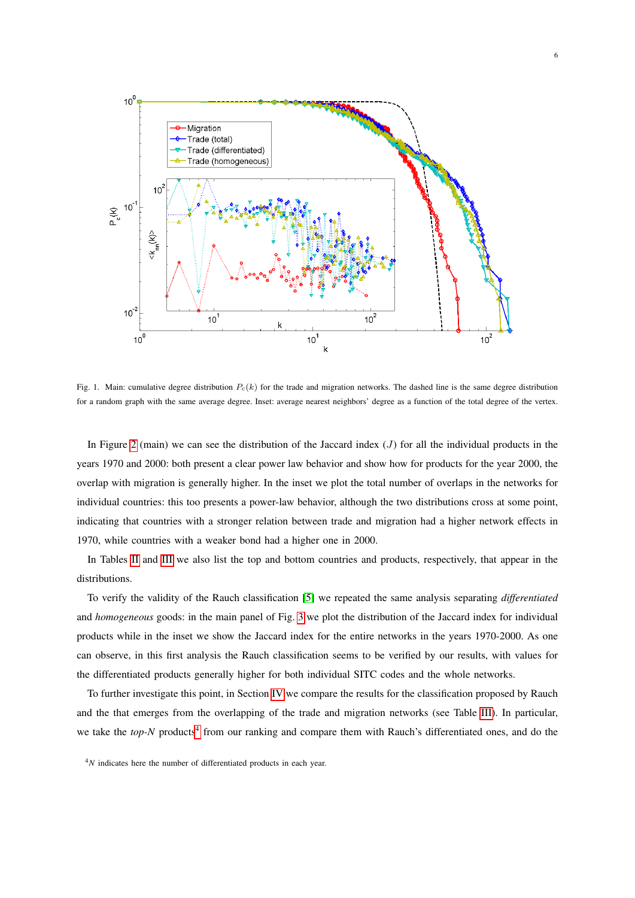

<span id="page-7-0"></span>Fig. 1. Main: cumulative degree distribution  $P<sub>c</sub>(k)$  for the trade and migration networks. The dashed line is the same degree distribution for a random graph with the same average degree. Inset: average nearest neighbors' degree as a function of the total degree of the vertex.

In Figure [2](#page-8-0) (main) we can see the distribution of the Jaccard index  $(J)$  for all the individual products in the years 1970 and 2000: both present a clear power law behavior and show how for products for the year 2000, the overlap with migration is generally higher. In the inset we plot the total number of overlaps in the networks for individual countries: this too presents a power-law behavior, although the two distributions cross at some point, indicating that countries with a stronger relation between trade and migration had a higher network effects in 1970, while countries with a weaker bond had a higher one in 2000.

In Tables [II](#page-8-1) and [III](#page-9-1) we also list the top and bottom countries and products, respectively, that appear in the distributions.

To verify the validity of the Rauch classification [\[5\]](#page-15-4) we repeated the same analysis separating *differentiated* and *homogeneous* goods: in the main panel of Fig. [3](#page-10-0) we plot the distribution of the Jaccard index for individual products while in the inset we show the Jaccard index for the entire networks in the years 1970-2000. As one can observe, in this first analysis the Rauch classification seems to be verified by our results, with values for the differentiated products generally higher for both individual SITC codes and the whole networks.

To further investigate this point, in Section [IV](#page-9-0) we compare the results for the classification proposed by Rauch and the that emerges from the overlapping of the trade and migration networks (see Table [III\)](#page-9-1). In particular, we take the *top-N* products<sup>[4](#page-7-1)</sup> from our ranking and compare them with Rauch's differentiated ones, and do the

<span id="page-7-1"></span><sup>&</sup>lt;sup>4</sup>N indicates here the number of differentiated products in each year.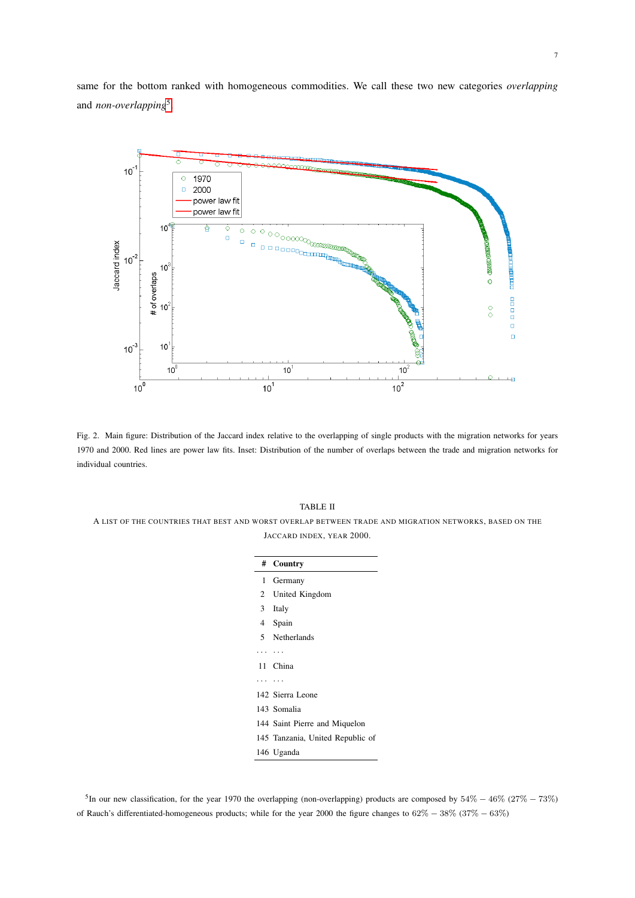same for the bottom ranked with homogeneous commodities. We call these two new categories *overlapping* and *non-overlapping*[5](#page-8-2) .



<span id="page-8-0"></span>Fig. 2. Main figure: Distribution of the Jaccard index relative to the overlapping of single products with the migration networks for years 1970 and 2000. Red lines are power law fits. Inset: Distribution of the number of overlaps between the trade and migration networks for individual countries.

#### TABLE II

<span id="page-8-1"></span>A LIST OF THE COUNTRIES THAT BEST AND WORST OVERLAP BETWEEN TRADE AND MIGRATION NETWORKS, BASED ON THE JACCARD INDEX, YEAR 2000.

|                | # Country                        |
|----------------|----------------------------------|
|                | 1 Germany                        |
|                | 2 United Kingdom                 |
| 3 <sup>7</sup> | Italy                            |
|                | 4 Spain                          |
|                | 5 Netherlands                    |
|                |                                  |
|                | 11 China                         |
|                |                                  |
|                | 142 Sierra Leone                 |
|                | 143 Somalia                      |
|                | 144 Saint Pierre and Miquelon    |
|                | 145 Tanzania, United Republic of |
|                | 146 Uganda                       |

<span id="page-8-2"></span><sup>5</sup>In our new classification, for the year 1970 the overlapping (non-overlapping) products are composed by  $54\% - 46\%$  ( $27\% - 73\%$ ) of Rauch's differentiated-homogeneous products; while for the year 2000 the figure changes to 62% − 38% (37% − 63%)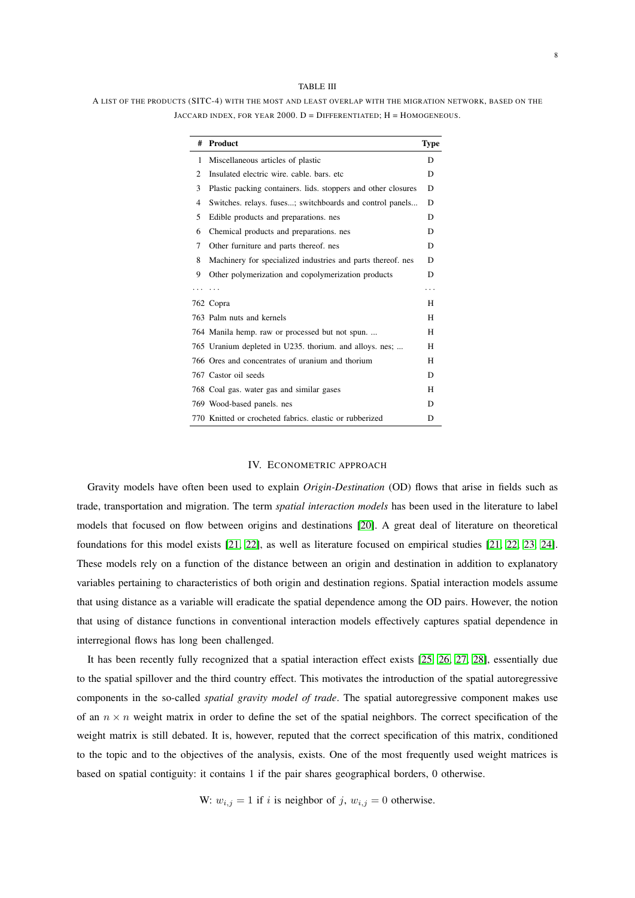#### TABLE III

<span id="page-9-1"></span>A LIST OF THE PRODUCTS (SITC-4) WITH THE MOST AND LEAST OVERLAP WITH THE MIGRATION NETWORK, BASED ON THE  $JACCARD$  INDEX, FOR YEAR 2000.  $D = D$ IFFERENTIATED;  $H = HOMOGENEOUS$ .

| #              | Product                                                       | <b>Type</b> |
|----------------|---------------------------------------------------------------|-------------|
| 1              | Miscellaneous articles of plastic                             | D           |
| 2              | Insulated electric wire, cable, bars, etc.                    | D           |
| 3              | Plastic packing containers. lids. stoppers and other closures | D           |
| $\overline{4}$ | Switches. relays. fuses; switchboards and control panels      | D           |
| 5              | Edible products and preparations, nes                         | D           |
| 6              | Chemical products and preparations, nes                       | D           |
| 7              | Other furniture and parts thereof, nes                        | D           |
| 8              | Machinery for specialized industries and parts thereof, nes   | D           |
| 9              | Other polymerization and copolymerization products            | D           |
|                | .                                                             | .           |
|                | 762 Copra                                                     | H           |
|                | 763 Palm nuts and kernels                                     | H           |
|                | 764 Manila hemp. raw or processed but not spun                | H           |
|                | 765 Uranium depleted in U235. thorium. and alloys. nes;       | н           |
|                | 766 Ores and concentrates of uranium and thorium              | H           |
|                | 767 Castor oil seeds                                          | D           |
|                | 768 Coal gas. water gas and similar gases                     | H           |
|                | 769 Wood-based panels. nes                                    | D           |
|                | 770 Knitted or crocheted fabrics, elastic or rubberized       | D           |

#### IV. ECONOMETRIC APPROACH

<span id="page-9-0"></span>Gravity models have often been used to explain *Origin-Destination* (OD) flows that arise in fields such as trade, transportation and migration. The term *spatial interaction models* has been used in the literature to label models that focused on flow between origins and destinations [\[20\]](#page-16-11). A great deal of literature on theoretical foundations for this model exists [\[21,](#page-16-12) [22\]](#page-16-13), as well as literature focused on empirical studies [\[21,](#page-16-12) [22,](#page-16-13) [23,](#page-16-14) [24\]](#page-16-15). These models rely on a function of the distance between an origin and destination in addition to explanatory variables pertaining to characteristics of both origin and destination regions. Spatial interaction models assume that using distance as a variable will eradicate the spatial dependence among the OD pairs. However, the notion that using of distance functions in conventional interaction models effectively captures spatial dependence in interregional flows has long been challenged.

It has been recently fully recognized that a spatial interaction effect exists [\[25,](#page-16-16) [26,](#page-16-17) [27,](#page-16-18) [28\]](#page-17-0), essentially due to the spatial spillover and the third country effect. This motivates the introduction of the spatial autoregressive components in the so-called *spatial gravity model of trade*. The spatial autoregressive component makes use of an  $n \times n$  weight matrix in order to define the set of the spatial neighbors. The correct specification of the weight matrix is still debated. It is, however, reputed that the correct specification of this matrix, conditioned to the topic and to the objectives of the analysis, exists. One of the most frequently used weight matrices is based on spatial contiguity: it contains 1 if the pair shares geographical borders, 0 otherwise.

W:  $w_{i,j} = 1$  if i is neighbor of j,  $w_{i,j} = 0$  otherwise.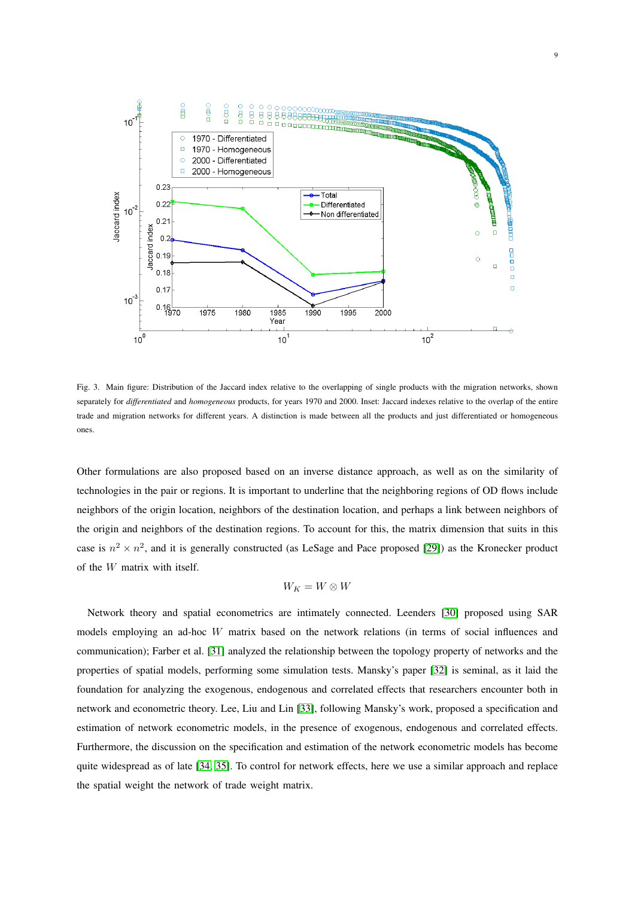

<span id="page-10-0"></span>Fig. 3. Main figure: Distribution of the Jaccard index relative to the overlapping of single products with the migration networks, shown separately for *differentiated* and *homogeneous* products, for years 1970 and 2000. Inset: Jaccard indexes relative to the overlap of the entire trade and migration networks for different years. A distinction is made between all the products and just differentiated or homogeneous ones.

Other formulations are also proposed based on an inverse distance approach, as well as on the similarity of technologies in the pair or regions. It is important to underline that the neighboring regions of OD flows include neighbors of the origin location, neighbors of the destination location, and perhaps a link between neighbors of the origin and neighbors of the destination regions. To account for this, the matrix dimension that suits in this case is  $n^2 \times n^2$ , and it is generally constructed (as LeSage and Pace proposed [\[29\]](#page-17-1)) as the Kronecker product of the W matrix with itself.

$$
W_K = W \otimes W
$$

Network theory and spatial econometrics are intimately connected. Leenders [\[30\]](#page-17-2) proposed using SAR models employing an ad-hoc W matrix based on the network relations (in terms of social influences and communication); Farber et al. [\[31\]](#page-17-3) analyzed the relationship between the topology property of networks and the properties of spatial models, performing some simulation tests. Mansky's paper [\[32\]](#page-17-4) is seminal, as it laid the foundation for analyzing the exogenous, endogenous and correlated effects that researchers encounter both in network and econometric theory. Lee, Liu and Lin [\[33\]](#page-17-5), following Mansky's work, proposed a specification and estimation of network econometric models, in the presence of exogenous, endogenous and correlated effects. Furthermore, the discussion on the specification and estimation of the network econometric models has become quite widespread as of late [\[34,](#page-17-6) [35\]](#page-17-7). To control for network effects, here we use a similar approach and replace the spatial weight the network of trade weight matrix.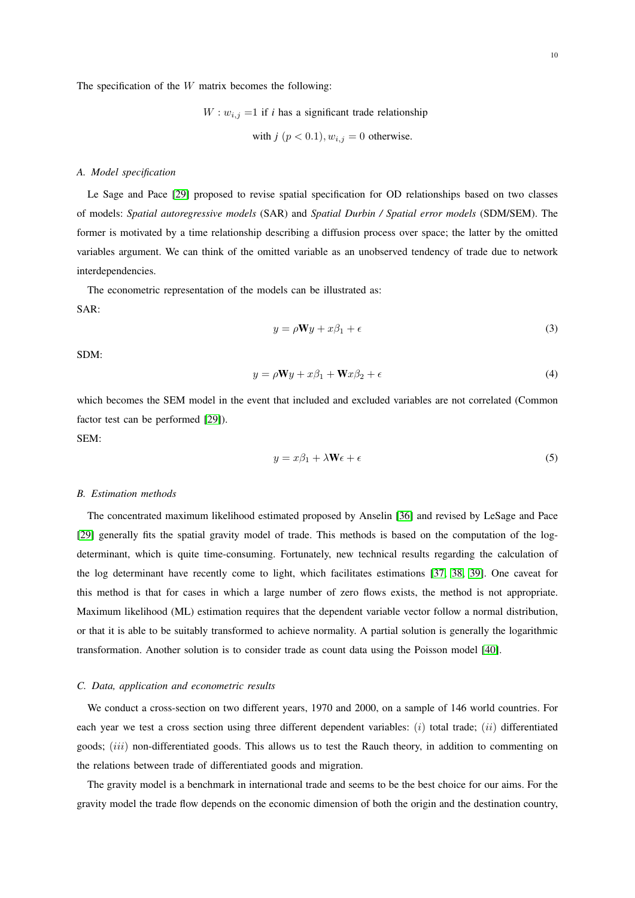The specification of the  $W$  matrix becomes the following:

 $W: w_{i,j} =1$  if *i* has a significant trade relationship with  $i \nvert n < 0.1$ ,  $w_i \nvert i = 0$  otherwise.

with 
$$
j \, (p < 0.1)
$$
,  $w_{i,j} = 0$  otherwise

#### *A. Model specification*

Le Sage and Pace [\[29\]](#page-17-1) proposed to revise spatial specification for OD relationships based on two classes of models: *Spatial autoregressive models* (SAR) and *Spatial Durbin / Spatial error models* (SDM/SEM). The former is motivated by a time relationship describing a diffusion process over space; the latter by the omitted variables argument. We can think of the omitted variable as an unobserved tendency of trade due to network interdependencies.

The econometric representation of the models can be illustrated as:

SAR:

$$
y = \rho \mathbf{W}y + x\beta_1 + \epsilon \tag{3}
$$

SDM:

$$
y = \rho \mathbf{W}y + x\beta_1 + \mathbf{W}x\beta_2 + \epsilon \tag{4}
$$

which becomes the SEM model in the event that included and excluded variables are not correlated (Common factor test can be performed [\[29\]](#page-17-1)).

SEM:

$$
y = x\beta_1 + \lambda \mathbf{W}\epsilon + \epsilon \tag{5}
$$

#### *B. Estimation methods*

The concentrated maximum likelihood estimated proposed by Anselin [\[36\]](#page-17-8) and revised by LeSage and Pace [\[29\]](#page-17-1) generally fits the spatial gravity model of trade. This methods is based on the computation of the logdeterminant, which is quite time-consuming. Fortunately, new technical results regarding the calculation of the log determinant have recently come to light, which facilitates estimations [\[37,](#page-17-9) [38,](#page-17-10) [39\]](#page-17-11). One caveat for this method is that for cases in which a large number of zero flows exists, the method is not appropriate. Maximum likelihood (ML) estimation requires that the dependent variable vector follow a normal distribution, or that it is able to be suitably transformed to achieve normality. A partial solution is generally the logarithmic transformation. Another solution is to consider trade as count data using the Poisson model [\[40\]](#page-17-12).

#### *C. Data, application and econometric results*

We conduct a cross-section on two different years, 1970 and 2000, on a sample of 146 world countries. For each year we test a cross section using three different dependent variables:  $(i)$  total trade;  $(ii)$  differentiated goods; *(iii)* non-differentiated goods. This allows us to test the Rauch theory, in addition to commenting on the relations between trade of differentiated goods and migration.

The gravity model is a benchmark in international trade and seems to be the best choice for our aims. For the gravity model the trade flow depends on the economic dimension of both the origin and the destination country,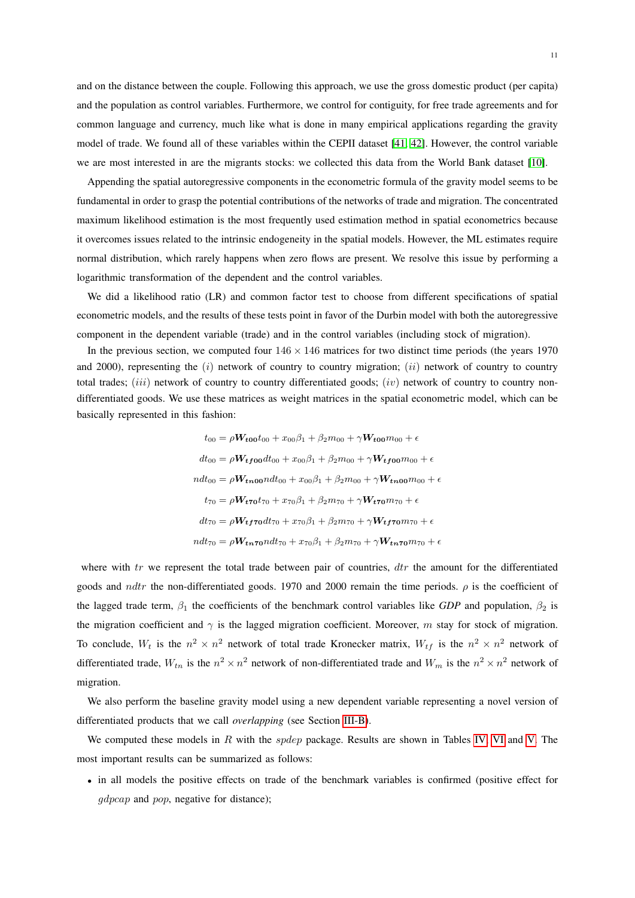and on the distance between the couple. Following this approach, we use the gross domestic product (per capita) and the population as control variables. Furthermore, we control for contiguity, for free trade agreements and for common language and currency, much like what is done in many empirical applications regarding the gravity model of trade. We found all of these variables within the CEPII dataset [\[41,](#page-17-13) [42\]](#page-17-14). However, the control variable we are most interested in are the migrants stocks: we collected this data from the World Bank dataset [\[10\]](#page-16-1).

Appending the spatial autoregressive components in the econometric formula of the gravity model seems to be fundamental in order to grasp the potential contributions of the networks of trade and migration. The concentrated maximum likelihood estimation is the most frequently used estimation method in spatial econometrics because it overcomes issues related to the intrinsic endogeneity in the spatial models. However, the ML estimates require normal distribution, which rarely happens when zero flows are present. We resolve this issue by performing a logarithmic transformation of the dependent and the control variables.

We did a likelihood ratio (LR) and common factor test to choose from different specifications of spatial econometric models, and the results of these tests point in favor of the Durbin model with both the autoregressive component in the dependent variable (trade) and in the control variables (including stock of migration).

In the previous section, we computed four  $146 \times 146$  matrices for two distinct time periods (the years 1970 and 2000), representing the  $(i)$  network of country to country migration;  $(ii)$  network of country to country total trades;  $(iii)$  network of country to country differentiated goods;  $(iv)$  network of country to country nondifferentiated goods. We use these matrices as weight matrices in the spatial econometric model, which can be basically represented in this fashion:

$$
t_{00} = \rho W_{\text{t00}} t_{00} + x_{00} \beta_1 + \beta_2 m_{00} + \gamma W_{\text{t00}} m_{00} + \epsilon
$$
  
\n
$$
dt_{00} = \rho W_{\text{t00}} dt_{00} + x_{00} \beta_1 + \beta_2 m_{00} + \gamma W_{\text{t00}} m_{00} + \epsilon
$$
  
\n
$$
ndt_{00} = \rho W_{\text{t00}} dt_{00} + x_{00} \beta_1 + \beta_2 m_{00} + \gamma W_{\text{t00}} m_{00} + \epsilon
$$
  
\n
$$
t_{70} = \rho W_{\text{t70}} t_{70} + x_{70} \beta_1 + \beta_2 m_{70} + \gamma W_{\text{t70}} m_{70} + \epsilon
$$
  
\n
$$
dt_{70} = \rho W_{\text{t00}} dt_{70} + x_{70} \beta_1 + \beta_2 m_{70} + \gamma W_{\text{t00}} m_{70} + \epsilon
$$
  
\n
$$
ndt_{70} = \rho W_{\text{t00}} dt_{70} + x_{70} \beta_1 + \beta_2 m_{70} + \gamma W_{\text{t00}} m_{70} + \epsilon
$$

where with  $tr$  we represent the total trade between pair of countries,  $dr$  the amount for the differentiated goods and *ndtr* the non-differentiated goods. 1970 and 2000 remain the time periods.  $\rho$  is the coefficient of the lagged trade term,  $\beta_1$  the coefficients of the benchmark control variables like *GDP* and population,  $\beta_2$  is the migration coefficient and  $\gamma$  is the lagged migration coefficient. Moreover, m stay for stock of migration. To conclude,  $W_t$  is the  $n^2 \times n^2$  network of total trade Kronecker matrix,  $W_{tf}$  is the  $n^2 \times n^2$  network of differentiated trade,  $W_{tn}$  is the  $n^2 \times n^2$  network of non-differentiated trade and  $W_m$  is the  $n^2 \times n^2$  network of migration.

We also perform the baseline gravity model using a new dependent variable representing a novel version of differentiated products that we call *overlapping* (see Section [III-B\)](#page-6-0).

We computed these models in  $R$  with the *spdep* package. Results are shown in Tables [IV,](#page-13-0) [VI](#page-14-1) and [V.](#page-13-1) The most important results can be summarized as follows:

• in all models the positive effects on trade of the benchmark variables is confirmed (positive effect for gdpcap and pop, negative for distance);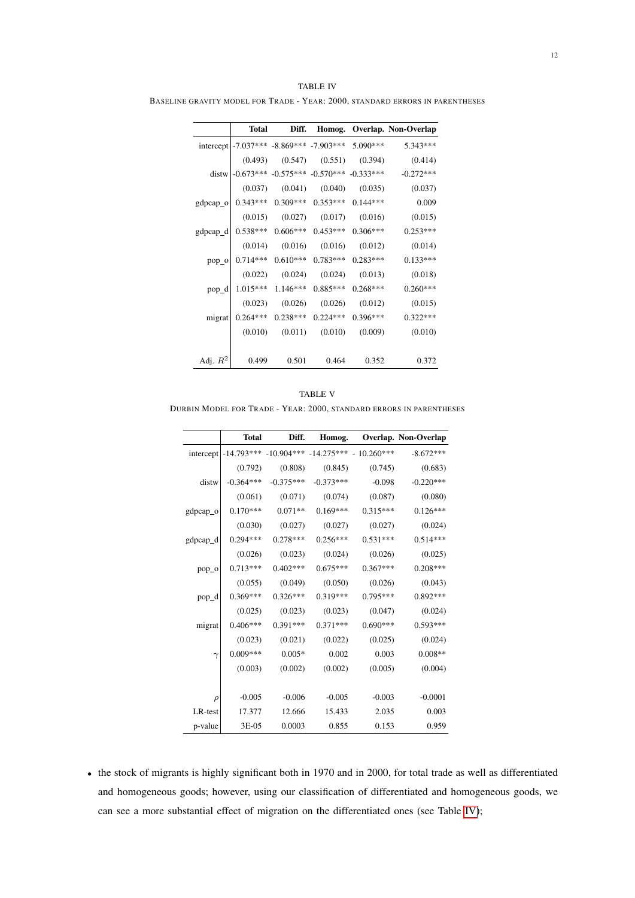|                    | <b>Total</b> | Diff.      |                                                 |            | Homog. Overlap. Non-Overlap |
|--------------------|--------------|------------|-------------------------------------------------|------------|-----------------------------|
| intercept          |              |            | $-7.037***$ $-8.869***$ $-7.903***$             | 5.090***   | $5.343***$                  |
|                    | (0.493)      | (0.547)    | (0.551)                                         | (0.394)    | (0.414)                     |
| distw <sup>1</sup> |              |            | $-0.673***$ $-0.575***$ $-0.570***$ $-0.333***$ |            | $-0.272***$                 |
|                    | (0.037)      | (0.041)    | (0.040)                                         | (0.035)    | (0.037)                     |
| gdpcap_o           | $0.343***$   | $0.309***$ | $0.353***$                                      | $0.144***$ | 0.009                       |
|                    | (0.015)      | (0.027)    | (0.017)                                         | (0.016)    | (0.015)                     |
| gdpcap_d           | $0.538***$   | $0.606***$ | $0.453***$                                      | $0.306***$ | $0.253***$                  |
|                    | (0.014)      | (0.016)    | (0.016)                                         | (0.012)    | (0.014)                     |
| pop_o              | $0.714***$   | $0.610***$ | $0.783***$                                      | $0.283***$ | $0.133***$                  |
|                    | (0.022)      | (0.024)    | (0.024)                                         | (0.013)    | (0.018)                     |
| pop_d              | $1.015***$   | $1.146***$ | $0.885***$                                      | $0.268***$ | $0.260***$                  |
|                    | (0.023)      | (0.026)    | (0.026)                                         | (0.012)    | (0.015)                     |
| migrat             | $0.264***$   | $0.238***$ | $0.224***$                                      | $0.396***$ | $0.322***$                  |
|                    | (0.010)      | (0.011)    | (0.010)                                         | (0.009)    | (0.010)                     |
|                    |              |            |                                                 |            |                             |
| Adj. $R^2$         | 0.499        | 0.501      | 0.464                                           | 0.352      | 0.372                       |

<span id="page-13-0"></span>TABLE IV BASELINE GRAVITY MODEL FOR TRADE - YEAR: 2000, STANDARD ERRORS IN PARENTHESES

<span id="page-13-1"></span>TABLE V DURBIN MODEL FOR TRADE - YEAR: 2000, STANDARD ERRORS IN PARENTHESES

|          | <b>Total</b> | Diff.       |             |                                                          | Homog. Overlap. Non-Overlap |
|----------|--------------|-------------|-------------|----------------------------------------------------------|-----------------------------|
|          |              |             |             | intercept   -14.793*** -10.904*** -14.275*** - 10.260*** | $-8.672***$                 |
|          | (0.792)      | (0.808)     | (0.845)     | (0.745)                                                  | (0.683)                     |
| distw    | $-0.364***$  | $-0.375***$ | $-0.373***$ | $-0.098$                                                 | $-0.220***$                 |
|          | (0.061)      | (0.071)     | (0.074)     | (0.087)                                                  | (0.080)                     |
| gdpcap_o | $0.170***$   | $0.071**$   | $0.169***$  | $0.315***$                                               | $0.126***$                  |
|          | (0.030)      | (0.027)     | (0.027)     | (0.027)                                                  | (0.024)                     |
| gdpcap_d | $0.294***$   | $0.278***$  | $0.256***$  | $0.531***$                                               | $0.514***$                  |
|          | (0.026)      | (0.023)     | (0.024)     | (0.026)                                                  | (0.025)                     |
| pop_o    | $0.713***$   | $0.402***$  | $0.675***$  | $0.367***$                                               | $0.208***$                  |
|          | (0.055)      | (0.049)     | (0.050)     | (0.026)                                                  | (0.043)                     |
| pop_d    | $0.369***$   | $0.326***$  | $0.319***$  | $0.795***$                                               | $0.892***$                  |
|          | (0.025)      | (0.023)     | (0.023)     | (0.047)                                                  | (0.024)                     |
| migrat   | $0.406***$   | $0.391***$  | $0.371***$  | $0.690***$                                               | $0.593***$                  |
|          | (0.023)      | (0.021)     | (0.022)     | (0.025)                                                  | (0.024)                     |
| $\gamma$ | $0.009***$   | $0.005*$    | 0.002       | 0.003                                                    | $0.008**$                   |
|          | (0.003)      | (0.002)     | (0.002)     | (0.005)                                                  | (0.004)                     |
|          |              |             |             |                                                          |                             |
| $\rho$   | $-0.005$     | $-0.006$    | $-0.005$    | $-0.003$                                                 | $-0.0001$                   |
| LR-test  | 17.377       | 12.666      | 15.433      | 2.035                                                    | 0.003                       |
| p-value  | 3E-05        | 0.0003      | 0.855       | 0.153                                                    | 0.959                       |

• the stock of migrants is highly significant both in 1970 and in 2000, for total trade as well as differentiated and homogeneous goods; however, using our classification of differentiated and homogeneous goods, we can see a more substantial effect of migration on the differentiated ones (see Table [IV\)](#page-13-0);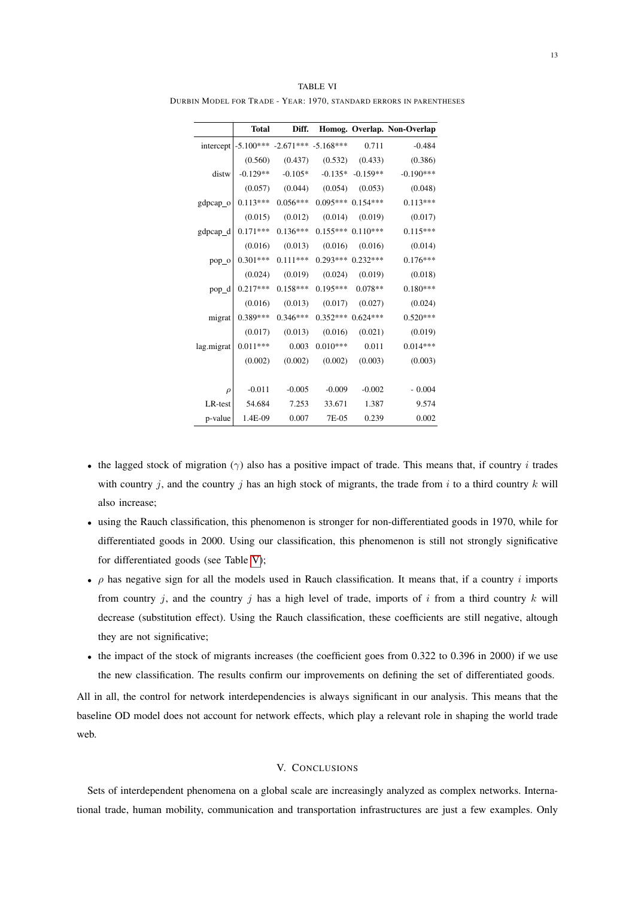|            | <b>Total</b> | Diff.                               |            |                       | Homog. Overlap. Non-Overlap |
|------------|--------------|-------------------------------------|------------|-----------------------|-----------------------------|
| intercept  |              | $-5.100***$ $-2.671***$ $-5.168***$ |            | 0.711                 | $-0.484$                    |
|            | (0.560)      | (0.437)                             | (0.532)    | (0.433)               | (0.386)                     |
| distw      | $-0.129**$   | $-0.105*$                           |            | $-0.135* -0.159**$    | $-0.190***$                 |
|            | (0.057)      | (0.044)                             | (0.054)    | (0.053)               | (0.048)                     |
| $gdpcap_0$ | $0.113***$   | $0.056***$                          |            | $0.095***$ 0.154***   | $0.113***$                  |
|            |              | $(0.015)$ $(0.012)$                 | (0.014)    | (0.019)               | (0.017)                     |
| gdpcap_d   | $0.171***$   | $0.136***$                          |            | $0.155***$ $0.110***$ | $0.115***$                  |
|            | (0.016)      | (0.013)                             | (0.016)    | (0.016)               | (0.014)                     |
| $pop_0$    | $0.301***$   | $0.111***$                          |            | $0.293***0.232***$    | $0.176***$                  |
|            |              | $(0.024)$ $(0.019)$                 | (0.024)    | (0.019)               | (0.018)                     |
| $pop_d$    | $0.217***$   | $0.158***$                          | $0.195***$ | $0.078**$             | $0.180***$                  |
|            | (0.016)      | (0.013)                             | (0.017)    | (0.027)               | (0.024)                     |
| migrat     | $0.389***$   | $0.346***$                          |            | $0.352***0.624***$    | $0.520***$                  |
|            | (0.017)      | (0.013)                             | (0.016)    | (0.021)               | (0.019)                     |
| lag.migrat | $0.011***$   | 0.003                               | $0.010***$ | 0.011                 | $0.014***$                  |
|            | (0.002)      | (0.002)                             | (0.002)    | (0.003)               | (0.003)                     |
|            |              |                                     |            |                       |                             |
| $\rho$     | $-0.011$     | $-0.005$                            | $-0.009$   | $-0.002$              | $-0.004$                    |
| LR-test    | 54.684       | 7.253                               | 33.671     | 1.387                 | 9.574                       |
| p-value    | 1.4E-09      | 0.007                               | 7E-05      | 0.239                 | 0.002                       |

<span id="page-14-1"></span>TABLE VI DURBIN MODEL FOR TRADE - YEAR: 1970, STANDARD ERRORS IN PARENTHESES

- the lagged stock of migration ( $\gamma$ ) also has a positive impact of trade. This means that, if country i trades with country j, and the country j has an high stock of migrants, the trade from i to a third country  $k$  will also increase;
- using the Rauch classification, this phenomenon is stronger for non-differentiated goods in 1970, while for differentiated goods in 2000. Using our classification, this phenomenon is still not strongly significative for differentiated goods (see Table [V\)](#page-13-1);
- $\rho$  has negative sign for all the models used in Rauch classification. It means that, if a country i imports from country j, and the country j has a high level of trade, imports of i from a third country  $k$  will decrease (substitution effect). Using the Rauch classification, these coefficients are still negative, altough they are not significative;
- the impact of the stock of migrants increases (the coefficient goes from 0.322 to 0.396 in 2000) if we use the new classification. The results confirm our improvements on defining the set of differentiated goods.

All in all, the control for network interdependencies is always significant in our analysis. This means that the baseline OD model does not account for network effects, which play a relevant role in shaping the world trade web.

#### V. CONCLUSIONS

<span id="page-14-0"></span>Sets of interdependent phenomena on a global scale are increasingly analyzed as complex networks. International trade, human mobility, communication and transportation infrastructures are just a few examples. Only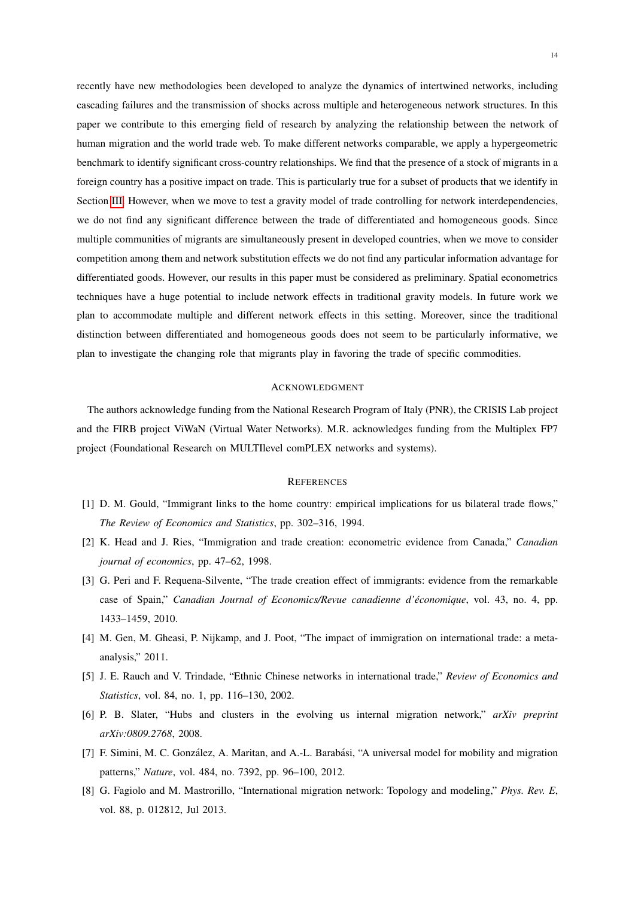recently have new methodologies been developed to analyze the dynamics of intertwined networks, including cascading failures and the transmission of shocks across multiple and heterogeneous network structures. In this paper we contribute to this emerging field of research by analyzing the relationship between the network of human migration and the world trade web. To make different networks comparable, we apply a hypergeometric benchmark to identify significant cross-country relationships. We find that the presence of a stock of migrants in a foreign country has a positive impact on trade. This is particularly true for a subset of products that we identify in Section [III.](#page-5-0) However, when we move to test a gravity model of trade controlling for network interdependencies, we do not find any significant difference between the trade of differentiated and homogeneous goods. Since multiple communities of migrants are simultaneously present in developed countries, when we move to consider competition among them and network substitution effects we do not find any particular information advantage for differentiated goods. However, our results in this paper must be considered as preliminary. Spatial econometrics techniques have a huge potential to include network effects in traditional gravity models. In future work we plan to accommodate multiple and different network effects in this setting. Moreover, since the traditional distinction between differentiated and homogeneous goods does not seem to be particularly informative, we plan to investigate the changing role that migrants play in favoring the trade of specific commodities.

#### ACKNOWLEDGMENT

The authors acknowledge funding from the National Research Program of Italy (PNR), the CRISIS Lab project and the FIRB project ViWaN (Virtual Water Networks). M.R. acknowledges funding from the Multiplex FP7 project (Foundational Research on MULTIlevel comPLEX networks and systems).

#### **REFERENCES**

- <span id="page-15-0"></span>[1] D. M. Gould, "Immigrant links to the home country: empirical implications for us bilateral trade flows," *The Review of Economics and Statistics*, pp. 302–316, 1994.
- <span id="page-15-1"></span>[2] K. Head and J. Ries, "Immigration and trade creation: econometric evidence from Canada," *Canadian journal of economics*, pp. 47–62, 1998.
- <span id="page-15-2"></span>[3] G. Peri and F. Requena-Silvente, "The trade creation effect of immigrants: evidence from the remarkable case of Spain," *Canadian Journal of Economics/Revue canadienne d'économique*, vol. 43, no. 4, pp. 1433–1459, 2010.
- <span id="page-15-3"></span>[4] M. Gen, M. Gheasi, P. Nijkamp, and J. Poot, "The impact of immigration on international trade: a metaanalysis," 2011.
- <span id="page-15-4"></span>[5] J. E. Rauch and V. Trindade, "Ethnic Chinese networks in international trade," *Review of Economics and Statistics*, vol. 84, no. 1, pp. 116–130, 2002.
- <span id="page-15-5"></span>[6] P. B. Slater, "Hubs and clusters in the evolving us internal migration network," *arXiv preprint arXiv:0809.2768*, 2008.
- <span id="page-15-6"></span>[7] F. Simini, M. C. González, A. Maritan, and A.-L. Barabási, "A universal model for mobility and migration patterns," *Nature*, vol. 484, no. 7392, pp. 96–100, 2012.
- <span id="page-15-7"></span>[8] G. Fagiolo and M. Mastrorillo, "International migration network: Topology and modeling," *Phys. Rev. E*, vol. 88, p. 012812, Jul 2013.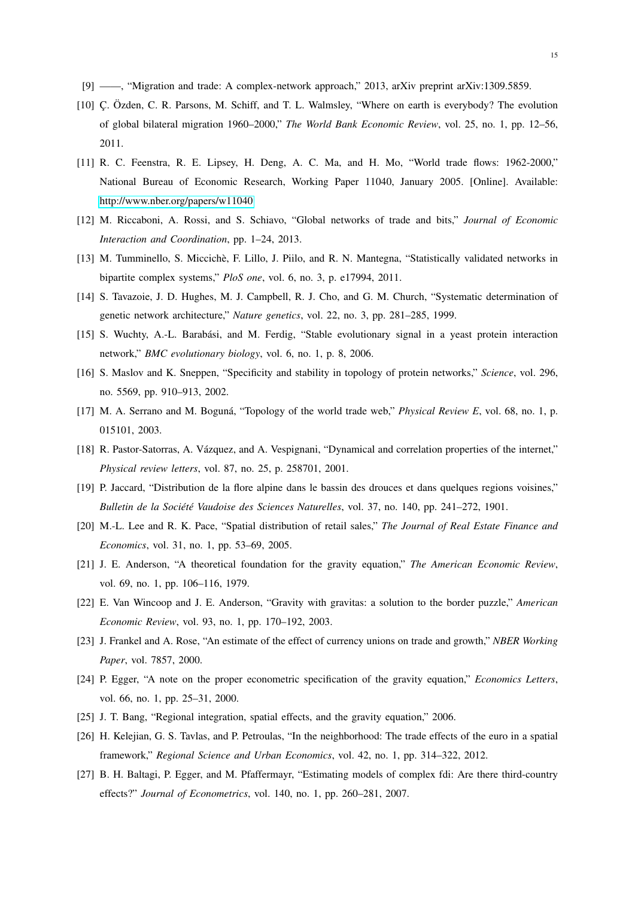- <span id="page-16-1"></span><span id="page-16-0"></span>[9] ——, "Migration and trade: A complex-network approach," 2013, arXiv preprint arXiv:1309.5859.
- [10] C. Özden, C. R. Parsons, M. Schiff, and T. L. Walmsley, "Where on earth is everybody? The evolution of global bilateral migration 1960–2000," *The World Bank Economic Review*, vol. 25, no. 1, pp. 12–56, 2011.
- <span id="page-16-2"></span>[11] R. C. Feenstra, R. E. Lipsey, H. Deng, A. C. Ma, and H. Mo, "World trade flows: 1962-2000," National Bureau of Economic Research, Working Paper 11040, January 2005. [Online]. Available: <http://www.nber.org/papers/w11040>
- <span id="page-16-3"></span>[12] M. Riccaboni, A. Rossi, and S. Schiavo, "Global networks of trade and bits," *Journal of Economic Interaction and Coordination*, pp. 1–24, 2013.
- <span id="page-16-4"></span>[13] M. Tumminello, S. Miccichè, F. Lillo, J. Piilo, and R. N. Mantegna, "Statistically validated networks in bipartite complex systems," *PloS one*, vol. 6, no. 3, p. e17994, 2011.
- <span id="page-16-5"></span>[14] S. Tavazoie, J. D. Hughes, M. J. Campbell, R. J. Cho, and G. M. Church, "Systematic determination of genetic network architecture," *Nature genetics*, vol. 22, no. 3, pp. 281–285, 1999.
- <span id="page-16-6"></span>[15] S. Wuchty, A.-L. Barabási, and M. Ferdig, "Stable evolutionary signal in a yeast protein interaction network," *BMC evolutionary biology*, vol. 6, no. 1, p. 8, 2006.
- <span id="page-16-7"></span>[16] S. Maslov and K. Sneppen, "Specificity and stability in topology of protein networks," *Science*, vol. 296, no. 5569, pp. 910–913, 2002.
- <span id="page-16-8"></span>[17] M. A. Serrano and M. Boguná, "Topology of the world trade web," *Physical Review E*, vol. 68, no. 1, p. 015101, 2003.
- <span id="page-16-9"></span>[18] R. Pastor-Satorras, A. Vázquez, and A. Vespignani, "Dynamical and correlation properties of the internet," *Physical review letters*, vol. 87, no. 25, p. 258701, 2001.
- <span id="page-16-10"></span>[19] P. Jaccard, "Distribution de la flore alpine dans le bassin des drouces et dans quelques regions voisines," *Bulletin de la Société Vaudoise des Sciences Naturelles*, vol. 37, no. 140, pp. 241–272, 1901.
- <span id="page-16-11"></span>[20] M.-L. Lee and R. K. Pace, "Spatial distribution of retail sales," *The Journal of Real Estate Finance and Economics*, vol. 31, no. 1, pp. 53–69, 2005.
- <span id="page-16-12"></span>[21] J. E. Anderson, "A theoretical foundation for the gravity equation," *The American Economic Review*, vol. 69, no. 1, pp. 106–116, 1979.
- <span id="page-16-13"></span>[22] E. Van Wincoop and J. E. Anderson, "Gravity with gravitas: a solution to the border puzzle," *American Economic Review*, vol. 93, no. 1, pp. 170–192, 2003.
- <span id="page-16-14"></span>[23] J. Frankel and A. Rose, "An estimate of the effect of currency unions on trade and growth," *NBER Working Paper*, vol. 7857, 2000.
- <span id="page-16-15"></span>[24] P. Egger, "A note on the proper econometric specification of the gravity equation," *Economics Letters*, vol. 66, no. 1, pp. 25–31, 2000.
- <span id="page-16-17"></span><span id="page-16-16"></span>[25] J. T. Bang, "Regional integration, spatial effects, and the gravity equation," 2006.
- [26] H. Kelejian, G. S. Tavlas, and P. Petroulas, "In the neighborhood: The trade effects of the euro in a spatial framework," *Regional Science and Urban Economics*, vol. 42, no. 1, pp. 314–322, 2012.
- <span id="page-16-18"></span>[27] B. H. Baltagi, P. Egger, and M. Pfaffermayr, "Estimating models of complex fdi: Are there third-country effects?" *Journal of Econometrics*, vol. 140, no. 1, pp. 260–281, 2007.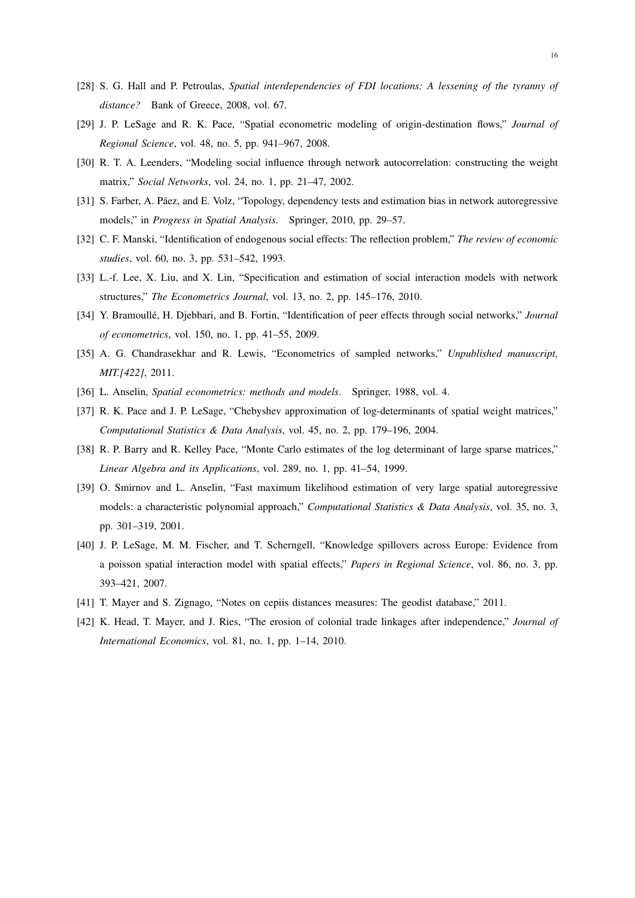- <span id="page-17-0"></span>[28] S. G. Hall and P. Petroulas, *Spatial interdependencies of FDI locations: A lessening of the tyranny of distance?* Bank of Greece, 2008, vol. 67.
- <span id="page-17-1"></span>[29] J. P. LeSage and R. K. Pace, "Spatial econometric modeling of origin-destination flows," *Journal of Regional Science*, vol. 48, no. 5, pp. 941–967, 2008.
- <span id="page-17-2"></span>[30] R. T. A. Leenders, "Modeling social influence through network autocorrelation: constructing the weight matrix," *Social Networks*, vol. 24, no. 1, pp. 21–47, 2002.
- <span id="page-17-3"></span>[31] S. Farber, A. Páez, and E. Volz, "Topology, dependency tests and estimation bias in network autoregressive models," in *Progress in Spatial Analysis*. Springer, 2010, pp. 29–57.
- <span id="page-17-4"></span>[32] C. F. Manski, "Identification of endogenous social effects: The reflection problem," *The review of economic studies*, vol. 60, no. 3, pp. 531–542, 1993.
- <span id="page-17-5"></span>[33] L.-f. Lee, X. Liu, and X. Lin, "Specification and estimation of social interaction models with network structures," *The Econometrics Journal*, vol. 13, no. 2, pp. 145–176, 2010.
- <span id="page-17-6"></span>[34] Y. Bramoulle, H. Djebbari, and B. Fortin, "Identification of peer effects through social networks," ´ *Journal of econometrics*, vol. 150, no. 1, pp. 41–55, 2009.
- <span id="page-17-7"></span>[35] A. G. Chandrasekhar and R. Lewis, "Econometrics of sampled networks," *Unpublished manuscript, MIT.[422]*, 2011.
- <span id="page-17-9"></span><span id="page-17-8"></span>[36] L. Anselin, *Spatial econometrics: methods and models*. Springer, 1988, vol. 4.
- [37] R. K. Pace and J. P. LeSage, "Chebyshev approximation of log-determinants of spatial weight matrices," *Computational Statistics & Data Analysis*, vol. 45, no. 2, pp. 179–196, 2004.
- <span id="page-17-10"></span>[38] R. P. Barry and R. Kelley Pace, "Monte Carlo estimates of the log determinant of large sparse matrices," *Linear Algebra and its Applications*, vol. 289, no. 1, pp. 41–54, 1999.
- <span id="page-17-11"></span>[39] O. Smirnov and L. Anselin, "Fast maximum likelihood estimation of very large spatial autoregressive models: a characteristic polynomial approach," *Computational Statistics & Data Analysis*, vol. 35, no. 3, pp. 301–319, 2001.
- <span id="page-17-12"></span>[40] J. P. LeSage, M. M. Fischer, and T. Scherngell, "Knowledge spillovers across Europe: Evidence from a poisson spatial interaction model with spatial effects," *Papers in Regional Science*, vol. 86, no. 3, pp. 393–421, 2007.
- <span id="page-17-14"></span><span id="page-17-13"></span>[41] T. Mayer and S. Zignago, "Notes on cepiis distances measures: The geodist database," 2011.
- [42] K. Head, T. Mayer, and J. Ries, "The erosion of colonial trade linkages after independence," *Journal of International Economics*, vol. 81, no. 1, pp. 1–14, 2010.